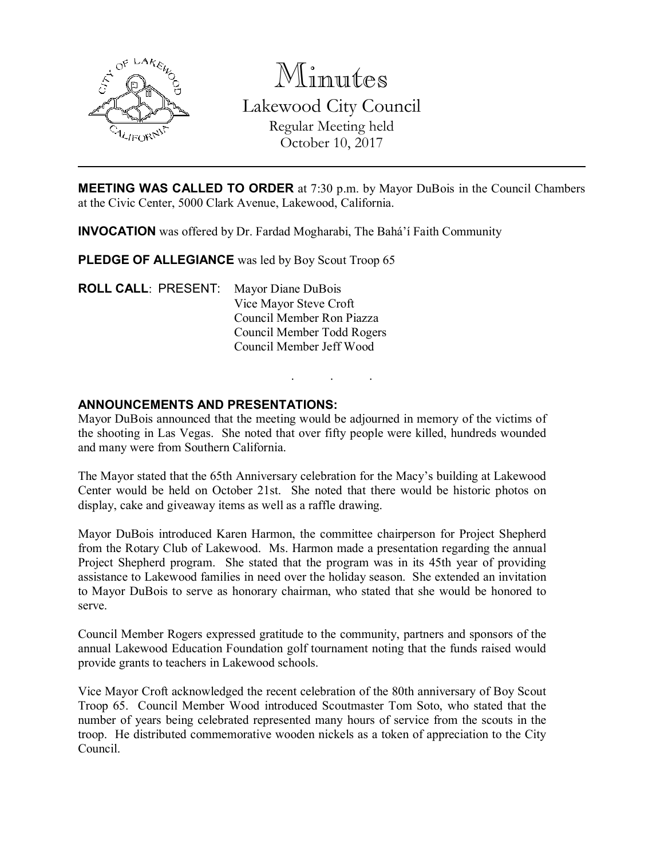

Minutes Lakewood City Council Regular Meeting held October 10, 2017

MEETING WAS CALLED TO ORDER at 7:30 p.m. by Mayor DuBois in the Council Chambers at the Civic Center, 5000 Clark Avenue, Lakewood, California.

INVOCATION was offered by Dr. Fardad Mogharabi, The Bahá'í Faith Community

PLEDGE OF ALLEGIANCE was led by Boy Scout Troop 65

ROLL CALL: PRESENT: Mayor Diane DuBois Vice Mayor Steve Croft Council Member Ron Piazza Council Member Todd Rogers Council Member Jeff Wood

#### ANNOUNCEMENTS AND PRESENTATIONS:

Mayor DuBois announced that the meeting would be adjourned in memory of the victims of the shooting in Las Vegas. She noted that over fifty people were killed, hundreds wounded and many were from Southern California.

. . .

The Mayor stated that the 65th Anniversary celebration for the Macy's building at Lakewood Center would be held on October 21st. She noted that there would be historic photos on display, cake and giveaway items as well as a raffle drawing.

Mayor DuBois introduced Karen Harmon, the committee chairperson for Project Shepherd from the Rotary Club of Lakewood. Ms. Harmon made a presentation regarding the annual Project Shepherd program. She stated that the program was in its 45th year of providing assistance to Lakewood families in need over the holiday season. She extended an invitation to Mayor DuBois to serve as honorary chairman, who stated that she would be honored to serve.

Council Member Rogers expressed gratitude to the community, partners and sponsors of the annual Lakewood Education Foundation golf tournament noting that the funds raised would provide grants to teachers in Lakewood schools.

Vice Mayor Croft acknowledged the recent celebration of the 80th anniversary of Boy Scout Troop 65. Council Member Wood introduced Scoutmaster Tom Soto, who stated that the number of years being celebrated represented many hours of service from the scouts in the troop. He distributed commemorative wooden nickels as a token of appreciation to the City Council.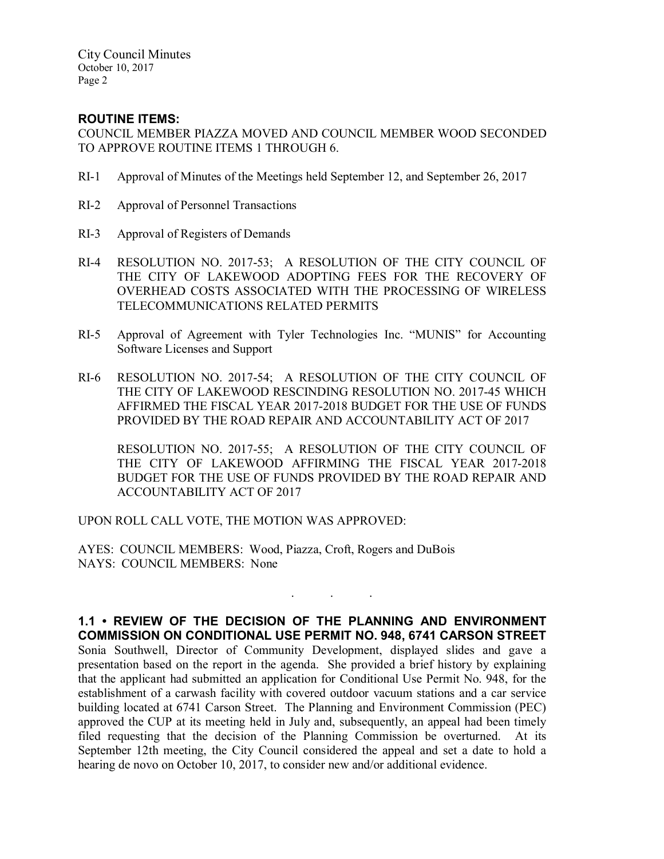City Council Minutes October 10, 2017 Page 2

# ROUTINE ITEMS:

COUNCIL MEMBER PIAZZA MOVED AND COUNCIL MEMBER WOOD SECONDED TO APPROVE ROUTINE ITEMS 1 THROUGH 6.

- RI-1 Approval of Minutes of the Meetings held September 12, and September 26, 2017
- RI-2 Approval of Personnel Transactions
- RI-3 Approval of Registers of Demands
- RI-4 RESOLUTION NO. 2017-53; A RESOLUTION OF THE CITY COUNCIL OF THE CITY OF LAKEWOOD ADOPTING FEES FOR THE RECOVERY OF OVERHEAD COSTS ASSOCIATED WITH THE PROCESSING OF WIRELESS TELECOMMUNICATIONS RELATED PERMITS
- RI-5 Approval of Agreement with Tyler Technologies Inc. "MUNIS" for Accounting Software Licenses and Support
- RI-6 RESOLUTION NO. 2017-54; A RESOLUTION OF THE CITY COUNCIL OF THE CITY OF LAKEWOOD RESCINDING RESOLUTION NO. 2017-45 WHICH AFFIRMED THE FISCAL YEAR 2017-2018 BUDGET FOR THE USE OF FUNDS PROVIDED BY THE ROAD REPAIR AND ACCOUNTABILITY ACT OF 2017

RESOLUTION NO. 2017-55; A RESOLUTION OF THE CITY COUNCIL OF THE CITY OF LAKEWOOD AFFIRMING THE FISCAL YEAR 2017-2018 BUDGET FOR THE USE OF FUNDS PROVIDED BY THE ROAD REPAIR AND ACCOUNTABILITY ACT OF 2017

. . .

UPON ROLL CALL VOTE, THE MOTION WAS APPROVED:

AYES: COUNCIL MEMBERS: Wood, Piazza, Croft, Rogers and DuBois NAYS: COUNCIL MEMBERS: None

1.1 • REVIEW OF THE DECISION OF THE PLANNING AND ENVIRONMENT COMMISSION ON CONDITIONAL USE PERMIT NO. 948, 6741 CARSON STREET Sonia Southwell, Director of Community Development, displayed slides and gave a presentation based on the report in the agenda. She provided a brief history by explaining that the applicant had submitted an application for Conditional Use Permit No. 948, for the establishment of a carwash facility with covered outdoor vacuum stations and a car service building located at 6741 Carson Street. The Planning and Environment Commission (PEC) approved the CUP at its meeting held in July and, subsequently, an appeal had been timely filed requesting that the decision of the Planning Commission be overturned. At its September 12th meeting, the City Council considered the appeal and set a date to hold a hearing de novo on October 10, 2017, to consider new and/or additional evidence.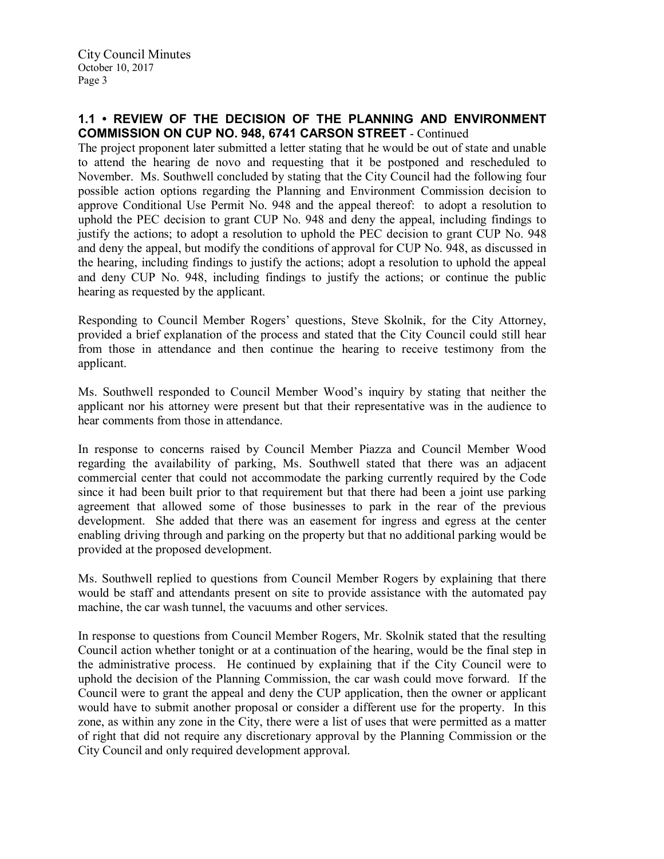### 1.1 • REVIEW OF THE DECISION OF THE PLANNING AND ENVIRONMENT COMMISSION ON CUP NO. 948, 6741 CARSON STREET - Continued

The project proponent later submitted a letter stating that he would be out of state and unable to attend the hearing de novo and requesting that it be postponed and rescheduled to November. Ms. Southwell concluded by stating that the City Council had the following four possible action options regarding the Planning and Environment Commission decision to approve Conditional Use Permit No. 948 and the appeal thereof: to adopt a resolution to uphold the PEC decision to grant CUP No. 948 and deny the appeal, including findings to justify the actions; to adopt a resolution to uphold the PEC decision to grant CUP No. 948 and deny the appeal, but modify the conditions of approval for CUP No. 948, as discussed in the hearing, including findings to justify the actions; adopt a resolution to uphold the appeal and deny CUP No. 948, including findings to justify the actions; or continue the public hearing as requested by the applicant.

Responding to Council Member Rogers' questions, Steve Skolnik, for the City Attorney, provided a brief explanation of the process and stated that the City Council could still hear from those in attendance and then continue the hearing to receive testimony from the applicant.

Ms. Southwell responded to Council Member Wood's inquiry by stating that neither the applicant nor his attorney were present but that their representative was in the audience to hear comments from those in attendance.

In response to concerns raised by Council Member Piazza and Council Member Wood regarding the availability of parking, Ms. Southwell stated that there was an adjacent commercial center that could not accommodate the parking currently required by the Code since it had been built prior to that requirement but that there had been a joint use parking agreement that allowed some of those businesses to park in the rear of the previous development. She added that there was an easement for ingress and egress at the center enabling driving through and parking on the property but that no additional parking would be provided at the proposed development.

Ms. Southwell replied to questions from Council Member Rogers by explaining that there would be staff and attendants present on site to provide assistance with the automated pay machine, the car wash tunnel, the vacuums and other services.

In response to questions from Council Member Rogers, Mr. Skolnik stated that the resulting Council action whether tonight or at a continuation of the hearing, would be the final step in the administrative process. He continued by explaining that if the City Council were to uphold the decision of the Planning Commission, the car wash could move forward. If the Council were to grant the appeal and deny the CUP application, then the owner or applicant would have to submit another proposal or consider a different use for the property. In this zone, as within any zone in the City, there were a list of uses that were permitted as a matter of right that did not require any discretionary approval by the Planning Commission or the City Council and only required development approval.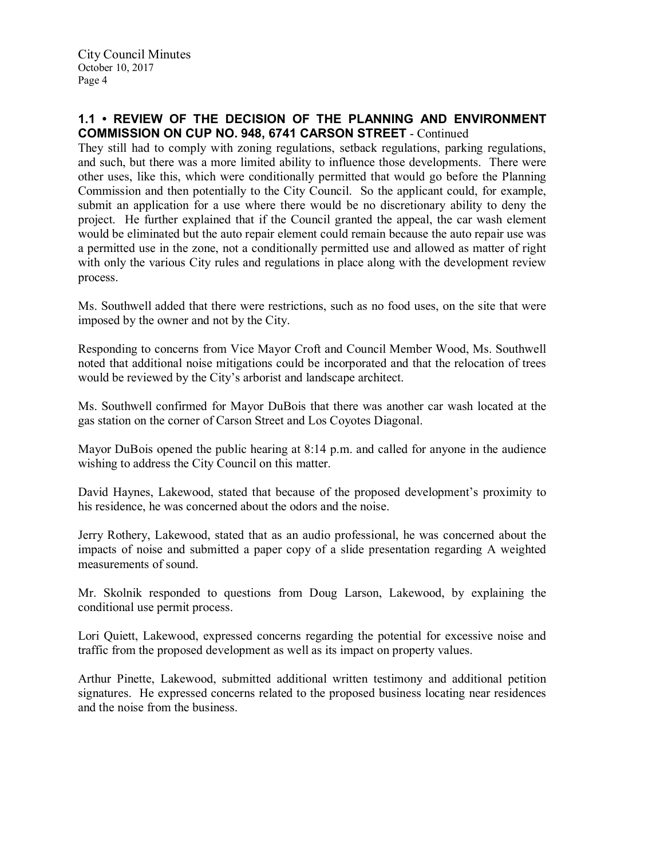## 1.1 • REVIEW OF THE DECISION OF THE PLANNING AND ENVIRONMENT COMMISSION ON CUP NO. 948, 6741 CARSON STREET - Continued

They still had to comply with zoning regulations, setback regulations, parking regulations, and such, but there was a more limited ability to influence those developments. There were other uses, like this, which were conditionally permitted that would go before the Planning Commission and then potentially to the City Council. So the applicant could, for example, submit an application for a use where there would be no discretionary ability to deny the project. He further explained that if the Council granted the appeal, the car wash element would be eliminated but the auto repair element could remain because the auto repair use was a permitted use in the zone, not a conditionally permitted use and allowed as matter of right with only the various City rules and regulations in place along with the development review process.

Ms. Southwell added that there were restrictions, such as no food uses, on the site that were imposed by the owner and not by the City.

Responding to concerns from Vice Mayor Croft and Council Member Wood, Ms. Southwell noted that additional noise mitigations could be incorporated and that the relocation of trees would be reviewed by the City's arborist and landscape architect.

Ms. Southwell confirmed for Mayor DuBois that there was another car wash located at the gas station on the corner of Carson Street and Los Coyotes Diagonal.

Mayor DuBois opened the public hearing at 8:14 p.m. and called for anyone in the audience wishing to address the City Council on this matter.

David Haynes, Lakewood, stated that because of the proposed development's proximity to his residence, he was concerned about the odors and the noise.

Jerry Rothery, Lakewood, stated that as an audio professional, he was concerned about the impacts of noise and submitted a paper copy of a slide presentation regarding A weighted measurements of sound.

Mr. Skolnik responded to questions from Doug Larson, Lakewood, by explaining the conditional use permit process.

Lori Quiett, Lakewood, expressed concerns regarding the potential for excessive noise and traffic from the proposed development as well as its impact on property values.

Arthur Pinette, Lakewood, submitted additional written testimony and additional petition signatures. He expressed concerns related to the proposed business locating near residences and the noise from the business.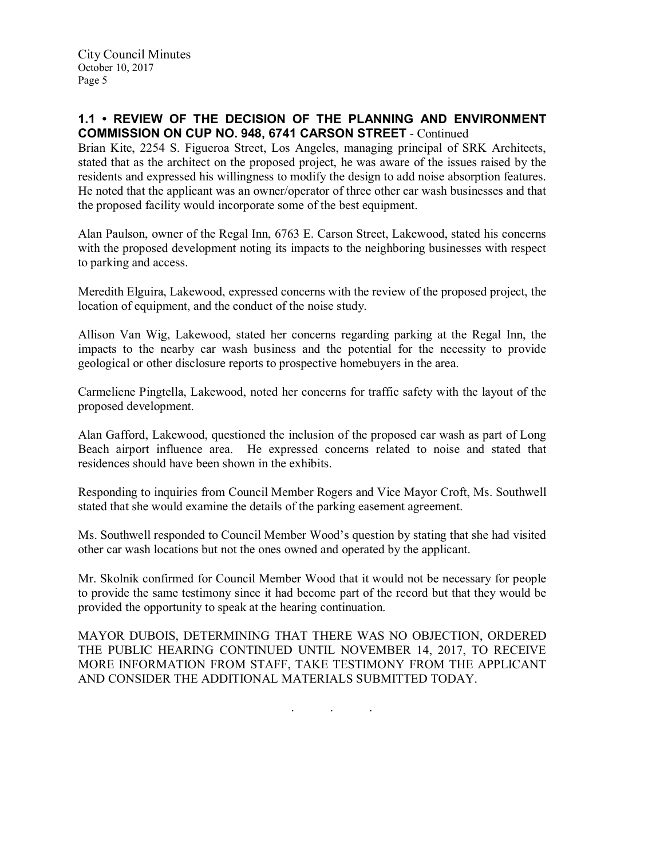## 1.1 • REVIEW OF THE DECISION OF THE PLANNING AND ENVIRONMENT COMMISSION ON CUP NO. 948, 6741 CARSON STREET - Continued

Brian Kite, 2254 S. Figueroa Street, Los Angeles, managing principal of SRK Architects, stated that as the architect on the proposed project, he was aware of the issues raised by the residents and expressed his willingness to modify the design to add noise absorption features. He noted that the applicant was an owner/operator of three other car wash businesses and that the proposed facility would incorporate some of the best equipment.

Alan Paulson, owner of the Regal Inn, 6763 E. Carson Street, Lakewood, stated his concerns with the proposed development noting its impacts to the neighboring businesses with respect to parking and access.

Meredith Elguira, Lakewood, expressed concerns with the review of the proposed project, the location of equipment, and the conduct of the noise study.

Allison Van Wig, Lakewood, stated her concerns regarding parking at the Regal Inn, the impacts to the nearby car wash business and the potential for the necessity to provide geological or other disclosure reports to prospective homebuyers in the area.

Carmeliene Pingtella, Lakewood, noted her concerns for traffic safety with the layout of the proposed development.

Alan Gafford, Lakewood, questioned the inclusion of the proposed car wash as part of Long Beach airport influence area. He expressed concerns related to noise and stated that residences should have been shown in the exhibits.

Responding to inquiries from Council Member Rogers and Vice Mayor Croft, Ms. Southwell stated that she would examine the details of the parking easement agreement.

Ms. Southwell responded to Council Member Wood's question by stating that she had visited other car wash locations but not the ones owned and operated by the applicant.

Mr. Skolnik confirmed for Council Member Wood that it would not be necessary for people to provide the same testimony since it had become part of the record but that they would be provided the opportunity to speak at the hearing continuation.

MAYOR DUBOIS, DETERMINING THAT THERE WAS NO OBJECTION, ORDERED THE PUBLIC HEARING CONTINUED UNTIL NOVEMBER 14, 2017, TO RECEIVE MORE INFORMATION FROM STAFF, TAKE TESTIMONY FROM THE APPLICANT AND CONSIDER THE ADDITIONAL MATERIALS SUBMITTED TODAY.

. . .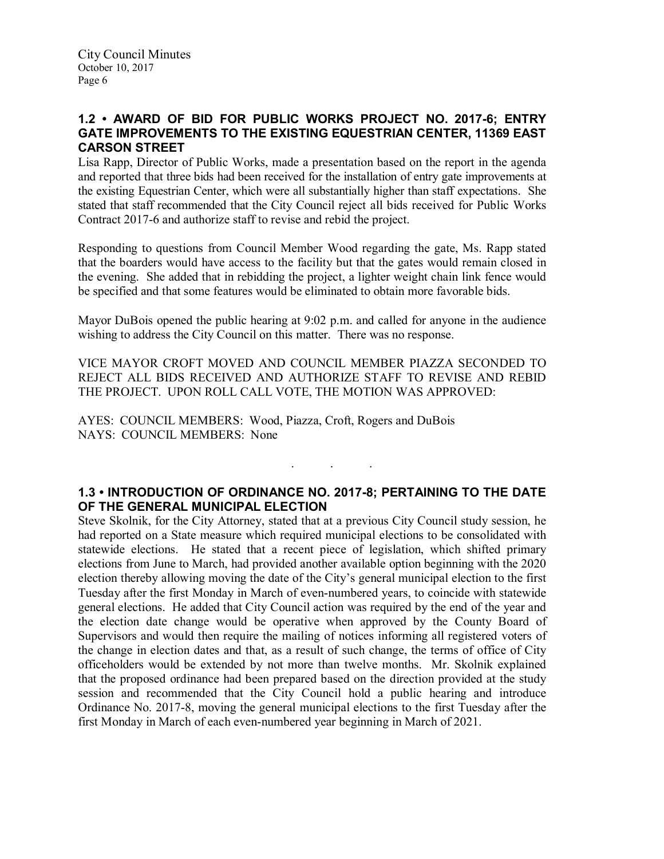# 1.2 • AWARD OF BID FOR PUBLIC WORKS PROJECT NO. 2017-6; ENTRY GATE IMPROVEMENTS TO THE EXISTING EQUESTRIAN CENTER, 11369 EAST CARSON STREET

Lisa Rapp, Director of Public Works, made a presentation based on the report in the agenda and reported that three bids had been received for the installation of entry gate improvements at the existing Equestrian Center, which were all substantially higher than staff expectations. She stated that staff recommended that the City Council reject all bids received for Public Works Contract 2017-6 and authorize staff to revise and rebid the project.

Responding to questions from Council Member Wood regarding the gate, Ms. Rapp stated that the boarders would have access to the facility but that the gates would remain closed in the evening. She added that in rebidding the project, a lighter weight chain link fence would be specified and that some features would be eliminated to obtain more favorable bids.

Mayor DuBois opened the public hearing at 9:02 p.m. and called for anyone in the audience wishing to address the City Council on this matter. There was no response.

VICE MAYOR CROFT MOVED AND COUNCIL MEMBER PIAZZA SECONDED TO REJECT ALL BIDS RECEIVED AND AUTHORIZE STAFF TO REVISE AND REBID THE PROJECT. UPON ROLL CALL VOTE, THE MOTION WAS APPROVED:

AYES: COUNCIL MEMBERS: Wood, Piazza, Croft, Rogers and DuBois NAYS: COUNCIL MEMBERS: None

# 1.3 • INTRODUCTION OF ORDINANCE NO. 2017-8; PERTAINING TO THE DATE OF THE GENERAL MUNICIPAL ELECTION

. . .

Steve Skolnik, for the City Attorney, stated that at a previous City Council study session, he had reported on a State measure which required municipal elections to be consolidated with statewide elections. He stated that a recent piece of legislation, which shifted primary elections from June to March, had provided another available option beginning with the 2020 election thereby allowing moving the date of the City's general municipal election to the first Tuesday after the first Monday in March of even-numbered years, to coincide with statewide general elections. He added that City Council action was required by the end of the year and the election date change would be operative when approved by the County Board of Supervisors and would then require the mailing of notices informing all registered voters of the change in election dates and that, as a result of such change, the terms of office of City officeholders would be extended by not more than twelve months. Mr. Skolnik explained that the proposed ordinance had been prepared based on the direction provided at the study session and recommended that the City Council hold a public hearing and introduce Ordinance No. 2017-8, moving the general municipal elections to the first Tuesday after the first Monday in March of each even-numbered year beginning in March of 2021.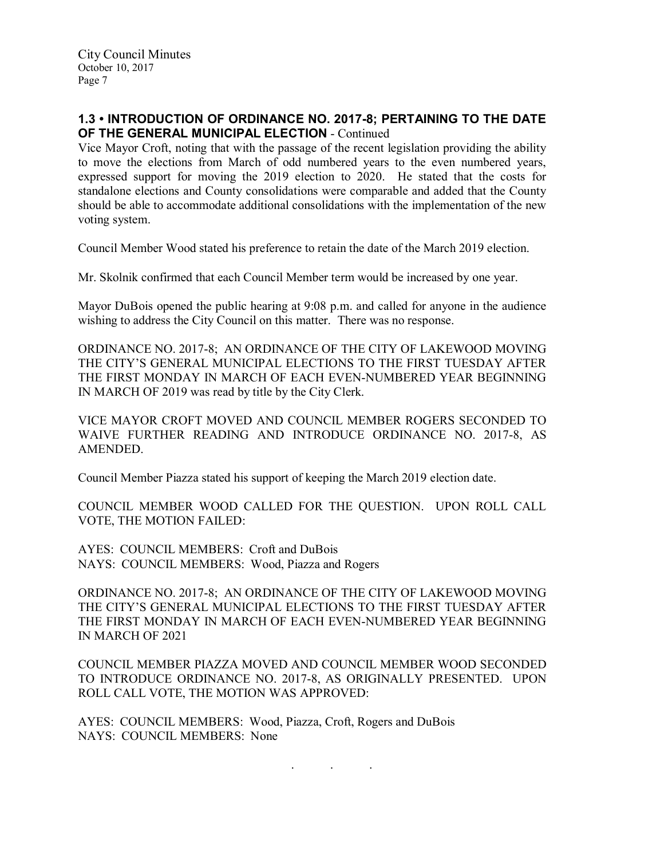## 1.3 • INTRODUCTION OF ORDINANCE NO. 2017-8; PERTAINING TO THE DATE OF THE GENERAL MUNICIPAL ELECTION - Continued

Vice Mayor Croft, noting that with the passage of the recent legislation providing the ability to move the elections from March of odd numbered years to the even numbered years, expressed support for moving the 2019 election to 2020. He stated that the costs for standalone elections and County consolidations were comparable and added that the County should be able to accommodate additional consolidations with the implementation of the new voting system.

Council Member Wood stated his preference to retain the date of the March 2019 election.

Mr. Skolnik confirmed that each Council Member term would be increased by one year.

Mayor DuBois opened the public hearing at 9:08 p.m. and called for anyone in the audience wishing to address the City Council on this matter. There was no response.

ORDINANCE NO. 2017-8; AN ORDINANCE OF THE CITY OF LAKEWOOD MOVING THE CITY'S GENERAL MUNICIPAL ELECTIONS TO THE FIRST TUESDAY AFTER THE FIRST MONDAY IN MARCH OF EACH EVEN-NUMBERED YEAR BEGINNING IN MARCH OF 2019 was read by title by the City Clerk.

VICE MAYOR CROFT MOVED AND COUNCIL MEMBER ROGERS SECONDED TO WAIVE FURTHER READING AND INTRODUCE ORDINANCE NO. 2017-8, AS AMENDED.

Council Member Piazza stated his support of keeping the March 2019 election date.

COUNCIL MEMBER WOOD CALLED FOR THE QUESTION. UPON ROLL CALL VOTE, THE MOTION FAILED:

AYES: COUNCIL MEMBERS: Croft and DuBois NAYS: COUNCIL MEMBERS: Wood, Piazza and Rogers

ORDINANCE NO. 2017-8; AN ORDINANCE OF THE CITY OF LAKEWOOD MOVING THE CITY'S GENERAL MUNICIPAL ELECTIONS TO THE FIRST TUESDAY AFTER THE FIRST MONDAY IN MARCH OF EACH EVEN-NUMBERED YEAR BEGINNING IN MARCH OF 2021

COUNCIL MEMBER PIAZZA MOVED AND COUNCIL MEMBER WOOD SECONDED TO INTRODUCE ORDINANCE NO. 2017-8, AS ORIGINALLY PRESENTED. UPON ROLL CALL VOTE, THE MOTION WAS APPROVED:

. . .

AYES: COUNCIL MEMBERS: Wood, Piazza, Croft, Rogers and DuBois NAYS: COUNCIL MEMBERS: None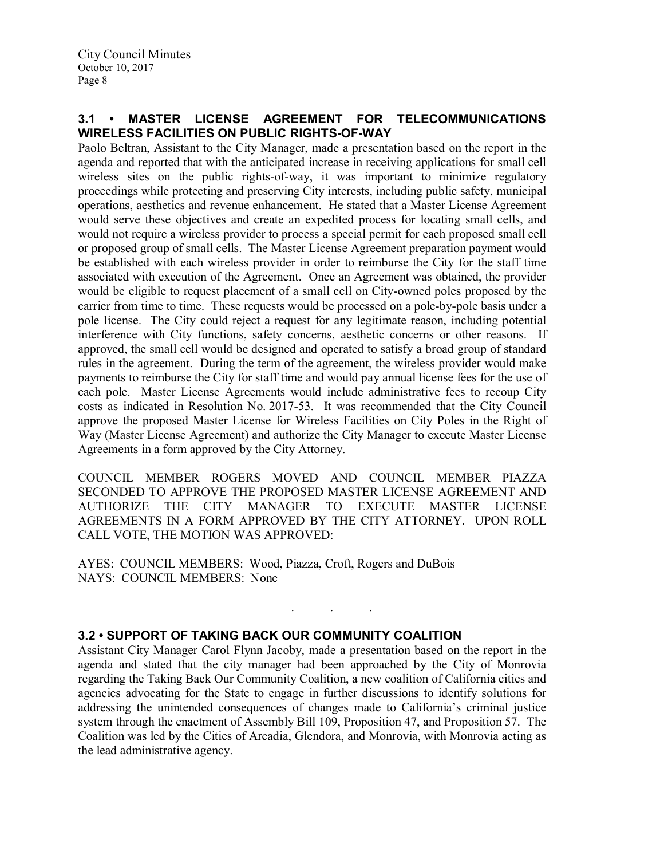# 3.1 • MASTER LICENSE AGREEMENT FOR TELECOMMUNICATIONS WIRELESS FACILITIES ON PUBLIC RIGHTS-OF-WAY

Paolo Beltran, Assistant to the City Manager, made a presentation based on the report in the agenda and reported that with the anticipated increase in receiving applications for small cell wireless sites on the public rights-of-way, it was important to minimize regulatory proceedings while protecting and preserving City interests, including public safety, municipal operations, aesthetics and revenue enhancement. He stated that a Master License Agreement would serve these objectives and create an expedited process for locating small cells, and would not require a wireless provider to process a special permit for each proposed small cell or proposed group of small cells. The Master License Agreement preparation payment would be established with each wireless provider in order to reimburse the City for the staff time associated with execution of the Agreement. Once an Agreement was obtained, the provider would be eligible to request placement of a small cell on City-owned poles proposed by the carrier from time to time. These requests would be processed on a pole-by-pole basis under a pole license. The City could reject a request for any legitimate reason, including potential interference with City functions, safety concerns, aesthetic concerns or other reasons. If approved, the small cell would be designed and operated to satisfy a broad group of standard rules in the agreement. During the term of the agreement, the wireless provider would make payments to reimburse the City for staff time and would pay annual license fees for the use of each pole. Master License Agreements would include administrative fees to recoup City costs as indicated in Resolution No. 2017-53. It was recommended that the City Council approve the proposed Master License for Wireless Facilities on City Poles in the Right of Way (Master License Agreement) and authorize the City Manager to execute Master License Agreements in a form approved by the City Attorney.

COUNCIL MEMBER ROGERS MOVED AND COUNCIL MEMBER PIAZZA SECONDED TO APPROVE THE PROPOSED MASTER LICENSE AGREEMENT AND AUTHORIZE THE CITY MANAGER TO EXECUTE MASTER LICENSE AGREEMENTS IN A FORM APPROVED BY THE CITY ATTORNEY. UPON ROLL CALL VOTE, THE MOTION WAS APPROVED:

AYES: COUNCIL MEMBERS: Wood, Piazza, Croft, Rogers and DuBois NAYS: COUNCIL MEMBERS: None

### 3.2 • SUPPORT OF TAKING BACK OUR COMMUNITY COALITION

Assistant City Manager Carol Flynn Jacoby, made a presentation based on the report in the agenda and stated that the city manager had been approached by the City of Monrovia regarding the Taking Back Our Community Coalition, a new coalition of California cities and agencies advocating for the State to engage in further discussions to identify solutions for addressing the unintended consequences of changes made to California's criminal justice system through the enactment of Assembly Bill 109, Proposition 47, and Proposition 57. The Coalition was led by the Cities of Arcadia, Glendora, and Monrovia, with Monrovia acting as the lead administrative agency.

. . .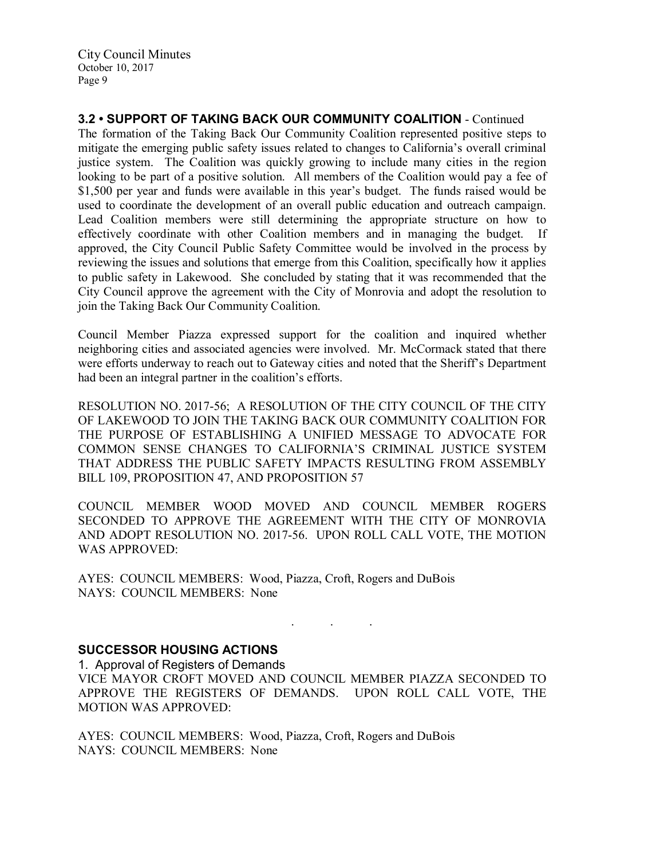City Council Minutes October 10, 2017 Page 9

3.2 • SUPPORT OF TAKING BACK OUR COMMUNITY COALITION - Continued The formation of the Taking Back Our Community Coalition represented positive steps to mitigate the emerging public safety issues related to changes to California's overall criminal justice system. The Coalition was quickly growing to include many cities in the region looking to be part of a positive solution. All members of the Coalition would pay a fee of \$1,500 per year and funds were available in this year's budget. The funds raised would be used to coordinate the development of an overall public education and outreach campaign. Lead Coalition members were still determining the appropriate structure on how to effectively coordinate with other Coalition members and in managing the budget. If approved, the City Council Public Safety Committee would be involved in the process by reviewing the issues and solutions that emerge from this Coalition, specifically how it applies to public safety in Lakewood. She concluded by stating that it was recommended that the City Council approve the agreement with the City of Monrovia and adopt the resolution to join the Taking Back Our Community Coalition.

Council Member Piazza expressed support for the coalition and inquired whether neighboring cities and associated agencies were involved. Mr. McCormack stated that there were efforts underway to reach out to Gateway cities and noted that the Sheriff's Department had been an integral partner in the coalition's efforts.

RESOLUTION NO. 2017-56; A RESOLUTION OF THE CITY COUNCIL OF THE CITY OF LAKEWOOD TO JOIN THE TAKING BACK OUR COMMUNITY COALITION FOR THE PURPOSE OF ESTABLISHING A UNIFIED MESSAGE TO ADVOCATE FOR COMMON SENSE CHANGES TO CALIFORNIA'S CRIMINAL JUSTICE SYSTEM THAT ADDRESS THE PUBLIC SAFETY IMPACTS RESULTING FROM ASSEMBLY BILL 109, PROPOSITION 47, AND PROPOSITION 57

COUNCIL MEMBER WOOD MOVED AND COUNCIL MEMBER ROGERS SECONDED TO APPROVE THE AGREEMENT WITH THE CITY OF MONROVIA AND ADOPT RESOLUTION NO. 2017-56. UPON ROLL CALL VOTE, THE MOTION WAS APPROVED:

AYES: COUNCIL MEMBERS: Wood, Piazza, Croft, Rogers and DuBois NAYS: COUNCIL MEMBERS: None

### SUCCESSOR HOUSING ACTIONS

1. Approval of Registers of Demands

VICE MAYOR CROFT MOVED AND COUNCIL MEMBER PIAZZA SECONDED TO APPROVE THE REGISTERS OF DEMANDS. UPON ROLL CALL VOTE, THE MOTION WAS APPROVED:

. . .

AYES: COUNCIL MEMBERS: Wood, Piazza, Croft, Rogers and DuBois NAYS: COUNCIL MEMBERS: None